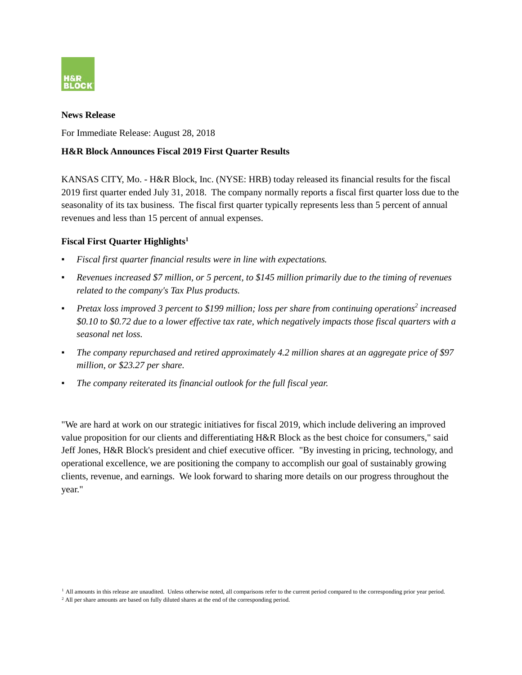

#### **News Release**

For Immediate Release: August 28, 2018

### **H&R Block Announces Fiscal 2019 First Quarter Results**

KANSAS CITY, Mo. - H&R Block, Inc. (NYSE: HRB) today released its financial results for the fiscal 2019 first quarter ended July 31, 2018. The company normally reports a fiscal first quarter loss due to the seasonality of its tax business. The fiscal first quarter typically represents less than 5 percent of annual revenues and less than 15 percent of annual expenses.

# **Fiscal First Quarter Highlights1**

- *Fiscal first quarter financial results were in line with expectations.*
- *Revenues increased \$7 million, or 5 percent, to \$145 million primarily due to the timing of revenues related to the company's Tax Plus products.*
- **•** Pretax loss improved 3 percent to \$199 million; loss per share from continuing operations<sup>2</sup> increased *\$0.10 to \$0.72 due to a lower effective tax rate, which negatively impacts those fiscal quarters with a seasonal net loss.*
- *The company repurchased and retired approximately 4.2 million shares at an aggregate price of \$97 million, or \$23.27 per share.*
- *The company reiterated its financial outlook for the full fiscal year.*

"We are hard at work on our strategic initiatives for fiscal 2019, which include delivering an improved value proposition for our clients and differentiating H&R Block as the best choice for consumers," said Jeff Jones, H&R Block's president and chief executive officer. "By investing in pricing, technology, and operational excellence, we are positioning the company to accomplish our goal of sustainably growing clients, revenue, and earnings. We look forward to sharing more details on our progress throughout the year."

<sup>&</sup>lt;sup>1</sup> All amounts in this release are unaudited. Unless otherwise noted, all comparisons refer to the current period compared to the corresponding prior year period.

<sup>&</sup>lt;sup>2</sup> All per share amounts are based on fully diluted shares at the end of the corresponding period.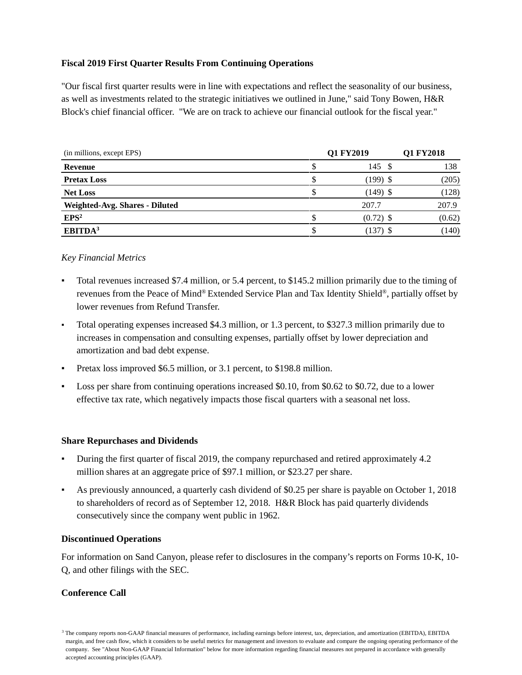# **Fiscal 2019 First Quarter Results From Continuing Operations**

"Our fiscal first quarter results were in line with expectations and reflect the seasonality of our business, as well as investments related to the strategic initiatives we outlined in June," said Tony Bowen, H&R Block's chief financial officer. "We are on track to achieve our financial outlook for the fiscal year."

| (in millions, except EPS)      | Q1 FY2019         |        |  |
|--------------------------------|-------------------|--------|--|
| Revenue                        | 145 $\frac{1}{2}$ | 138    |  |
| <b>Pretax Loss</b>             | $(199)$ \$        | (205)  |  |
| <b>Net Loss</b>                | $(149)$ \$        | (128)  |  |
| Weighted-Avg. Shares - Diluted | 207.7             | 207.9  |  |
| EPS <sup>2</sup>               | $(0.72)$ \$       | (0.62) |  |
| EBITDA <sup>3</sup>            | $(137)$ \$        | (140)  |  |

### *Key Financial Metrics*

- Total revenues increased \$7.4 million, or 5.4 percent, to \$145.2 million primarily due to the timing of revenues from the Peace of Mind® Extended Service Plan and Tax Identity Shield®, partially offset by lower revenues from Refund Transfer.
- Total operating expenses increased \$4.3 million, or 1.3 percent, to \$327.3 million primarily due to increases in compensation and consulting expenses, partially offset by lower depreciation and amortization and bad debt expense.
- Pretax loss improved \$6.5 million, or 3.1 percent, to \$198.8 million.
- Loss per share from continuing operations increased \$0.10, from \$0.62 to \$0.72, due to a lower effective tax rate, which negatively impacts those fiscal quarters with a seasonal net loss.

#### **Share Repurchases and Dividends**

- During the first quarter of fiscal 2019, the company repurchased and retired approximately 4.2 million shares at an aggregate price of \$97.1 million, or \$23.27 per share.
- As previously announced, a quarterly cash dividend of \$0.25 per share is payable on October 1, 2018 to shareholders of record as of September 12, 2018. H&R Block has paid quarterly dividends consecutively since the company went public in 1962.

#### **Discontinued Operations**

For information on Sand Canyon, please refer to disclosures in the company's reports on Forms 10-K, 10- Q, and other filings with the SEC.

#### **Conference Call**

<sup>3</sup> The company reports non-GAAP financial measures of performance, including earnings before interest, tax, depreciation, and amortization (EBITDA), EBITDA margin, and free cash flow, which it considers to be useful metrics for management and investors to evaluate and compare the ongoing operating performance of the company. See "About Non-GAAP Financial Information" below for more information regarding financial measures not prepared in accordance with generally accepted accounting principles (GAAP).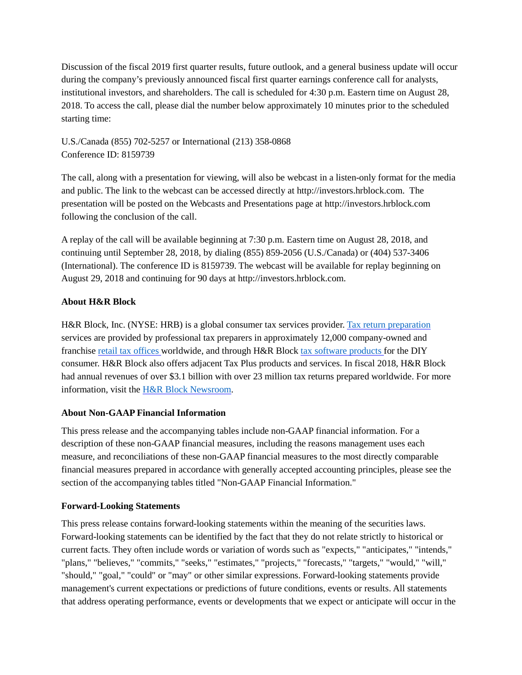Discussion of the fiscal 2019 first quarter results, future outlook, and a general business update will occur during the company's previously announced fiscal first quarter earnings conference call for analysts, institutional investors, and shareholders. The call is scheduled for 4:30 p.m. Eastern time on August 28, 2018. To access the call, please dial the number below approximately 10 minutes prior to the scheduled starting time:

U.S./Canada (855) 702-5257 or International (213) 358-0868 Conference ID: 8159739

The call, along with a presentation for viewing, will also be webcast in a listen-only format for the media and public. The link to the webcast can be accessed directly at http://investors.hrblock.com. The presentation will be posted on the Webcasts and Presentations page at http://investors.hrblock.com following the conclusion of the call.

A replay of the call will be available beginning at 7:30 p.m. Eastern time on August 28, 2018, and continuing until September 28, 2018, by dialing (855) 859-2056 (U.S./Canada) or (404) 537-3406 (International). The conference ID is 8159739. The webcast will be available for replay beginning on August 29, 2018 and continuing for 90 days at http://investors.hrblock.com.

# **About H&R Block**

H&R Block, Inc. (NYSE: HRB) is a global consumer tax services provider. [Tax return preparation](https://www.hrblock.com/tax-offices/#/en/) services are provided by professional tax preparers in approximately 12,000 company-owned and franchise [retail tax offices](https://www.hrblock.com/tax-offices/local-offices/#!/en/office-locator?src=nearest-other%2520appt) worldwide, and through H&R Block [tax software products](https://www.hrblock.com/tax-software/) for the DIY consumer. H&R Block also offers adjacent Tax Plus products and services. In fiscal 2018, H&R Block had annual revenues of over \$3.1 billion with over 23 million tax returns prepared worldwide. For more information, visit the [H&R Block Newsroom.](http://newsroom.hrblock.com/)

# **About Non-GAAP Financial Information**

This press release and the accompanying tables include non-GAAP financial information. For a description of these non-GAAP financial measures, including the reasons management uses each measure, and reconciliations of these non-GAAP financial measures to the most directly comparable financial measures prepared in accordance with generally accepted accounting principles, please see the section of the accompanying tables titled "Non-GAAP Financial Information."

# **Forward-Looking Statements**

This press release contains forward-looking statements within the meaning of the securities laws. Forward-looking statements can be identified by the fact that they do not relate strictly to historical or current facts. They often include words or variation of words such as "expects," "anticipates," "intends," "plans," "believes," "commits," "seeks," "estimates," "projects," "forecasts," "targets," "would," "will," "should," "goal," "could" or "may" or other similar expressions. Forward-looking statements provide management's current expectations or predictions of future conditions, events or results. All statements that address operating performance, events or developments that we expect or anticipate will occur in the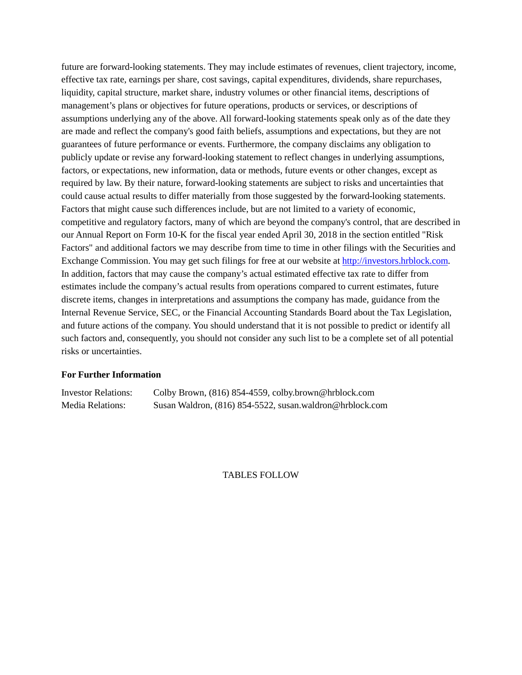future are forward-looking statements. They may include estimates of revenues, client trajectory, income, effective tax rate, earnings per share, cost savings, capital expenditures, dividends, share repurchases, liquidity, capital structure, market share, industry volumes or other financial items, descriptions of management's plans or objectives for future operations, products or services, or descriptions of assumptions underlying any of the above. All forward-looking statements speak only as of the date they are made and reflect the company's good faith beliefs, assumptions and expectations, but they are not guarantees of future performance or events. Furthermore, the company disclaims any obligation to publicly update or revise any forward-looking statement to reflect changes in underlying assumptions, factors, or expectations, new information, data or methods, future events or other changes, except as required by law. By their nature, forward-looking statements are subject to risks and uncertainties that could cause actual results to differ materially from those suggested by the forward-looking statements. Factors that might cause such differences include, but are not limited to a variety of economic, competitive and regulatory factors, many of which are beyond the company's control, that are described in our Annual Report on Form 10-K for the fiscal year ended April 30, 2018 in the section entitled "Risk Factors" and additional factors we may describe from time to time in other filings with the Securities and Exchange Commission. You may get such filings for free at our website at http://investors.hrblock.com. In addition, factors that may cause the company's actual estimated effective tax rate to differ from estimates include the company's actual results from operations compared to current estimates, future discrete items, changes in interpretations and assumptions the company has made, guidance from the Internal Revenue Service, SEC, or the Financial Accounting Standards Board about the Tax Legislation, and future actions of the company. You should understand that it is not possible to predict or identify all such factors and, consequently, you should not consider any such list to be a complete set of all potential risks or uncertainties.

#### **For Further Information**

Investor Relations: Colby Brown, (816) 854-4559, colby.brown@hrblock.com Media Relations: Susan Waldron, (816) 854-5522, susan.waldron@hrblock.com

TABLES FOLLOW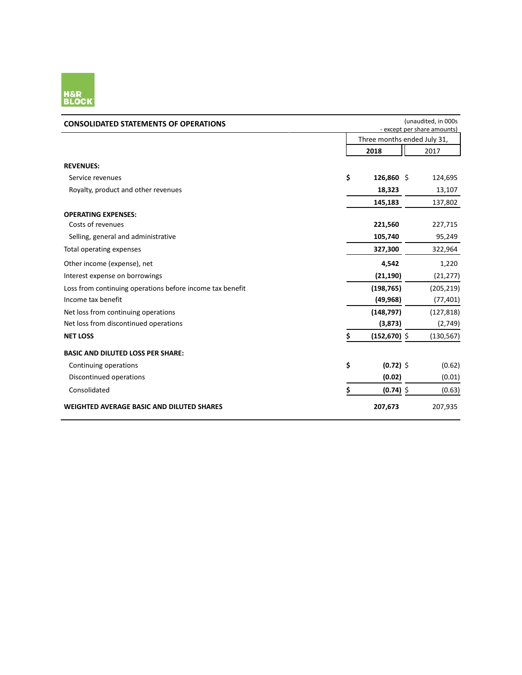

| <b>CONSOLIDATED STATEMENTS OF OPERATIONS</b>              |                             | (unaudited, in 000s<br>- except per share amounts) |  |  |
|-----------------------------------------------------------|-----------------------------|----------------------------------------------------|--|--|
|                                                           | Three months ended July 31, |                                                    |  |  |
|                                                           | 2018                        | 2017                                               |  |  |
| <b>REVENUES:</b>                                          |                             |                                                    |  |  |
| Service revenues                                          | \$<br>$126,860$ \$          | 124,695                                            |  |  |
| Royalty, product and other revenues                       | 18,323                      | 13,107                                             |  |  |
|                                                           | 145,183                     | 137,802                                            |  |  |
| <b>OPERATING EXPENSES:</b>                                |                             |                                                    |  |  |
| Costs of revenues                                         | 221,560                     | 227,715                                            |  |  |
| Selling, general and administrative                       | 105,740                     | 95,249                                             |  |  |
| Total operating expenses                                  | 327,300                     | 322,964                                            |  |  |
| Other income (expense), net                               | 4,542                       | 1,220                                              |  |  |
| Interest expense on borrowings                            | (21, 190)                   | (21, 277)                                          |  |  |
| Loss from continuing operations before income tax benefit | (198, 765)                  | (205, 219)                                         |  |  |
| Income tax benefit                                        | (49, 968)                   | (77, 401)                                          |  |  |
| Net loss from continuing operations                       | (148, 797)                  | (127, 818)                                         |  |  |
| Net loss from discontinued operations                     | (3,873)                     | (2,749)                                            |  |  |
| <b>NET LOSS</b>                                           | \$<br>$(152, 670)$ \$       | (130, 567)                                         |  |  |
| <b>BASIC AND DILUTED LOSS PER SHARE:</b>                  |                             |                                                    |  |  |
| Continuing operations                                     | \$<br>$(0.72)$ \$           | (0.62)                                             |  |  |
| Discontinued operations                                   | (0.02)                      | (0.01)                                             |  |  |
| Consolidated                                              | \$<br>$(0.74)$ \$           | (0.63)                                             |  |  |
| <b>WEIGHTED AVERAGE BASIC AND DILUTED SHARES</b>          | 207,673                     | 207,935                                            |  |  |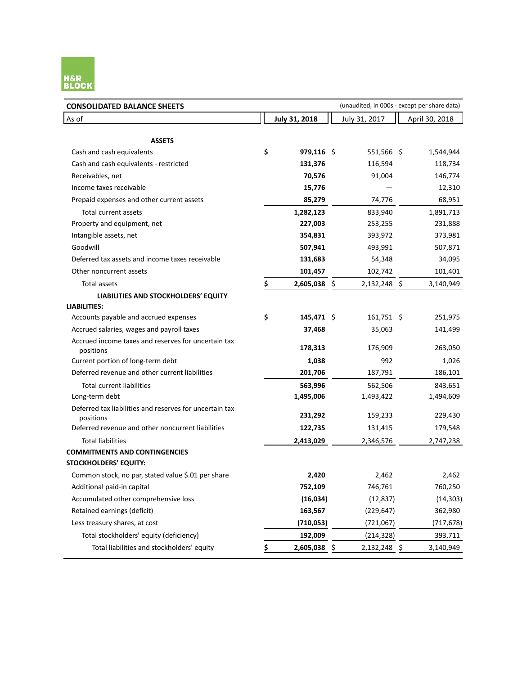

| <b>CONSOLIDATED BALANCE SHEETS</b>                                   |                    |               | (unaudited, in 000s - except per share data) |
|----------------------------------------------------------------------|--------------------|---------------|----------------------------------------------|
| As of                                                                | July 31, 2018      | July 31, 2017 | April 30, 2018                               |
|                                                                      |                    |               |                                              |
| <b>ASSETS</b>                                                        |                    |               |                                              |
| Cash and cash equivalents                                            | \$<br>$979,116$ \$ | 551,566 \$    | 1,544,944                                    |
| Cash and cash equivalents - restricted                               | 131,376            | 116,594       | 118,734                                      |
| Receivables, net                                                     | 70,576             | 91,004        | 146,774                                      |
| Income taxes receivable                                              | 15,776             |               | 12,310                                       |
| Prepaid expenses and other current assets                            | 85,279             | 74,776        | 68,951                                       |
| Total current assets                                                 | 1,282,123          | 833,940       | 1,891,713                                    |
| Property and equipment, net                                          | 227,003            | 253,255       | 231,888                                      |
| Intangible assets, net                                               | 354,831            | 393,972       | 373,981                                      |
| Goodwill                                                             | 507,941            | 493,991       | 507,871                                      |
| Deferred tax assets and income taxes receivable                      | 131,683            | 54,348        | 34,095                                       |
| Other noncurrent assets                                              | 101,457            | 102,742       | 101,401                                      |
| Total assets                                                         | \$<br>2,605,038 \$ | 2,132,248 \$  | 3,140,949                                    |
| LIABILITIES AND STOCKHOLDERS' EQUITY                                 |                    |               |                                              |
| <b>LIABILITIES:</b>                                                  |                    |               |                                              |
| Accounts payable and accrued expenses                                | \$<br>$145,471$ \$ | $161,751$ \$  | 251,975                                      |
| Accrued salaries, wages and payroll taxes                            | 37,468             | 35,063        | 141,499                                      |
| Accrued income taxes and reserves for uncertain tax<br>positions     | 178,313            | 176,909       | 263,050                                      |
| Current portion of long-term debt                                    | 1,038              | 992           | 1,026                                        |
| Deferred revenue and other current liabilities                       | 201,706            | 187,791       | 186,101                                      |
| <b>Total current liabilities</b>                                     | 563,996            | 562,506       | 843,651                                      |
| Long-term debt                                                       | 1,495,006          | 1,493,422     | 1,494,609                                    |
| Deferred tax liabilities and reserves for uncertain tax<br>positions | 231,292            | 159,233       | 229,430                                      |
| Deferred revenue and other noncurrent liabilities                    | 122,735            | 131,415       | 179,548                                      |
| <b>Total liabilities</b>                                             | 2,413,029          | 2,346,576     | 2,747,238                                    |
| <b>COMMITMENTS AND CONTINGENCIES</b>                                 |                    |               |                                              |
| <b>STOCKHOLDERS' EQUITY:</b>                                         |                    |               |                                              |
| Common stock, no par, stated value \$.01 per share                   | 2,420              | 2,462         | 2,462                                        |
| Additional paid-in capital                                           | 752,109            | 746,761       | 760,250                                      |
| Accumulated other comprehensive loss                                 | (16, 034)          | (12, 837)     | (14, 303)                                    |
| Retained earnings (deficit)                                          | 163,567            | (229, 647)    | 362,980                                      |
| Less treasury shares, at cost                                        | (710, 053)         | (721,067)     | (717, 678)                                   |
| Total stockholders' equity (deficiency)                              | 192,009            | (214, 328)    | 393,711                                      |
| Total liabilities and stockholders' equity                           | \$<br>2,605,038 \$ | 2,132,248 \$  | 3,140,949                                    |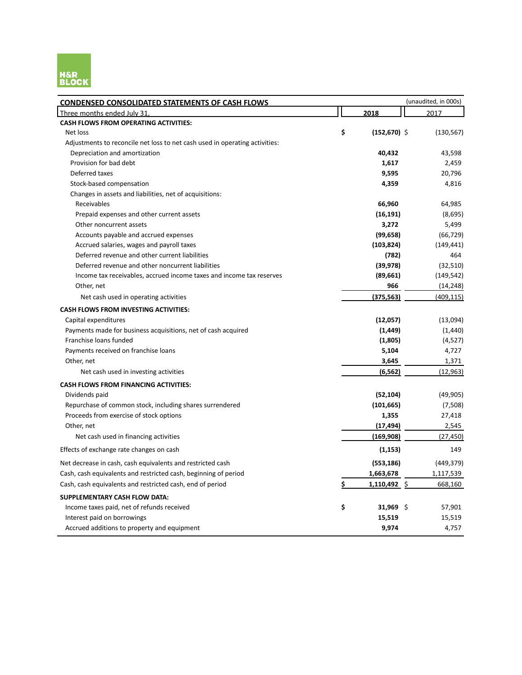

| <b>CONDENSED CONSOLIDATED STATEMENTS OF CASH FLOWS</b>                      |                       | (unaudited, in 000s) |
|-----------------------------------------------------------------------------|-----------------------|----------------------|
| Three months ended July 31                                                  | 2018                  | 2017                 |
| <b>CASH FLOWS FROM OPERATING ACTIVITIES:</b>                                |                       |                      |
| Net loss                                                                    | \$<br>$(152, 670)$ \$ | (130, 567)           |
| Adjustments to reconcile net loss to net cash used in operating activities: |                       |                      |
| Depreciation and amortization                                               | 40,432                | 43,598               |
| Provision for bad debt                                                      | 1,617                 | 2,459                |
| Deferred taxes                                                              | 9,595                 | 20,796               |
| Stock-based compensation                                                    | 4,359                 | 4,816                |
| Changes in assets and liabilities, net of acquisitions:                     |                       |                      |
| Receivables                                                                 | 66,960                | 64,985               |
| Prepaid expenses and other current assets                                   | (16, 191)             | (8,695)              |
| Other noncurrent assets                                                     | 3,272                 | 5,499                |
| Accounts payable and accrued expenses                                       | (99, 658)             | (66, 729)            |
| Accrued salaries, wages and payroll taxes                                   | (103, 824)            | (149, 441)           |
| Deferred revenue and other current liabilities                              | (782)                 | 464                  |
| Deferred revenue and other noncurrent liabilities                           | (39, 978)             | (32,510)             |
| Income tax receivables, accrued income taxes and income tax reserves        | (89,661)              | (149, 542)           |
| Other, net                                                                  | 966                   | (14, 248)            |
| Net cash used in operating activities                                       | (375, 563)            | (409, 115)           |
| <b>CASH FLOWS FROM INVESTING ACTIVITIES:</b>                                |                       |                      |
| Capital expenditures                                                        | (12,057)              | (13,094)             |
| Payments made for business acquisitions, net of cash acquired               | (1, 449)              | (1,440)              |
| Franchise loans funded                                                      | (1,805)               | (4,527)              |
| Payments received on franchise loans                                        | 5,104                 | 4,727                |
| Other, net                                                                  | 3,645                 | 1,371                |
| Net cash used in investing activities                                       | (6, 562)              | (12,963)             |
| <b>CASH FLOWS FROM FINANCING ACTIVITIES:</b>                                |                       |                      |
| Dividends paid                                                              | (52, 104)             | (49, 905)            |
| Repurchase of common stock, including shares surrendered                    | (101, 665)            | (7,508)              |
| Proceeds from exercise of stock options                                     | 1,355                 | 27,418               |
| Other, net                                                                  | (17, 494)             | 2,545                |
| Net cash used in financing activities                                       | (169, 908)            | (27, 450)            |
| Effects of exchange rate changes on cash                                    | (1, 153)              | 149                  |
| Net decrease in cash, cash equivalents and restricted cash                  | (553, 186)            | (449, 379)           |
| Cash, cash equivalents and restricted cash, beginning of period             | 1,663,678             | 1,117,539            |
| Cash, cash equivalents and restricted cash, end of period                   | \$<br>$1,110,492$ \$  | 668,160              |
| <b>SUPPLEMENTARY CASH FLOW DATA:</b>                                        |                       |                      |
| Income taxes paid, net of refunds received                                  | \$<br>31,969 \$       | 57,901               |
| Interest paid on borrowings                                                 | 15,519                | 15,519               |
| Accrued additions to property and equipment                                 | 9,974                 | 4,757                |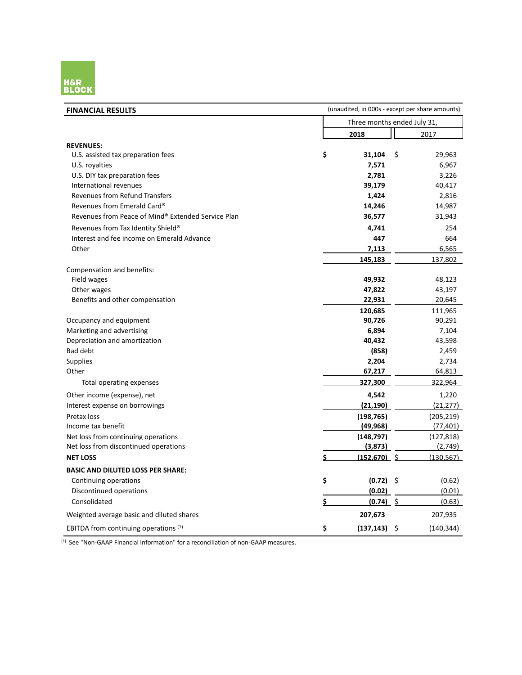

| <b>FINANCIAL RESULTS</b>                           |    | (unaudited, in 000s - except per share amounts) |    |            |  |  |
|----------------------------------------------------|----|-------------------------------------------------|----|------------|--|--|
|                                                    |    | Three months ended July 31,                     |    |            |  |  |
|                                                    |    | 2018                                            |    | 2017       |  |  |
| <b>REVENUES:</b>                                   |    |                                                 |    |            |  |  |
| U.S. assisted tax preparation fees                 | \$ | 31,104                                          | \$ | 29,963     |  |  |
| U.S. royalties                                     |    | 7,571                                           |    | 6,967      |  |  |
| U.S. DIY tax preparation fees                      |    | 2,781                                           |    | 3,226      |  |  |
| International revenues                             |    | 39,179                                          |    | 40,417     |  |  |
| <b>Revenues from Refund Transfers</b>              |    | 1,424                                           |    | 2,816      |  |  |
| Revenues from Emerald Card®                        |    | 14,246                                          |    | 14,987     |  |  |
| Revenues from Peace of Mind® Extended Service Plan |    | 36,577                                          |    | 31,943     |  |  |
| Revenues from Tax Identity Shield®                 |    | 4,741                                           |    | 254        |  |  |
| Interest and fee income on Emerald Advance         |    | 447                                             |    | 664        |  |  |
| Other                                              |    | 7,113                                           |    | 6,565      |  |  |
|                                                    |    | 145,183                                         |    | 137,802    |  |  |
| Compensation and benefits:                         |    |                                                 |    |            |  |  |
| Field wages                                        |    | 49,932                                          |    | 48,123     |  |  |
| Other wages                                        |    | 47,822                                          |    | 43,197     |  |  |
| Benefits and other compensation                    |    | 22,931                                          |    | 20,645     |  |  |
|                                                    |    | 120,685                                         |    | 111,965    |  |  |
| Occupancy and equipment                            |    | 90,726                                          |    | 90,291     |  |  |
| Marketing and advertising                          |    | 6,894                                           |    | 7,104      |  |  |
| Depreciation and amortization                      |    | 40,432                                          |    | 43,598     |  |  |
| <b>Bad debt</b>                                    |    | (858)                                           |    | 2,459      |  |  |
| <b>Supplies</b>                                    |    | 2,204                                           |    | 2,734      |  |  |
| Other                                              |    | 67,217                                          |    | 64,813     |  |  |
| Total operating expenses                           |    | 327,300                                         |    | 322,964    |  |  |
| Other income (expense), net                        |    | 4,542                                           |    | 1,220      |  |  |
| Interest expense on borrowings                     |    | (21, 190)                                       |    | (21, 277)  |  |  |
| Pretax loss                                        |    | (198, 765)                                      |    | (205, 219) |  |  |
| Income tax benefit                                 |    | (49, 968)                                       |    | (77, 401)  |  |  |
| Net loss from continuing operations                |    | (148, 797)                                      |    | (127, 818) |  |  |
| Net loss from discontinued operations              |    | (3,873)                                         |    | (2,749)    |  |  |
| <b>NET LOSS</b>                                    | Ś  | $(152, 670)$ \$                                 |    | (130,567)  |  |  |
| <b>BASIC AND DILUTED LOSS PER SHARE:</b>           |    |                                                 |    |            |  |  |
| Continuing operations                              | \$ | $(0.72)$ \$                                     |    | (0.62)     |  |  |
| Discontinued operations                            |    | (0.02)                                          |    | (0.01)     |  |  |
| Consolidated                                       | \$ | $(0.74)$ \$                                     |    | (0.63)     |  |  |
| Weighted average basic and diluted shares          |    | 207,673                                         |    | 207,935    |  |  |
| EBITDA from continuing operations (1)              | \$ | $(137, 143)$ \$                                 |    | (140, 344) |  |  |

 $<sup>(1)</sup>$  See "Non-GAAP Financial Information" for a reconciliation of non-GAAP measures.</sup>